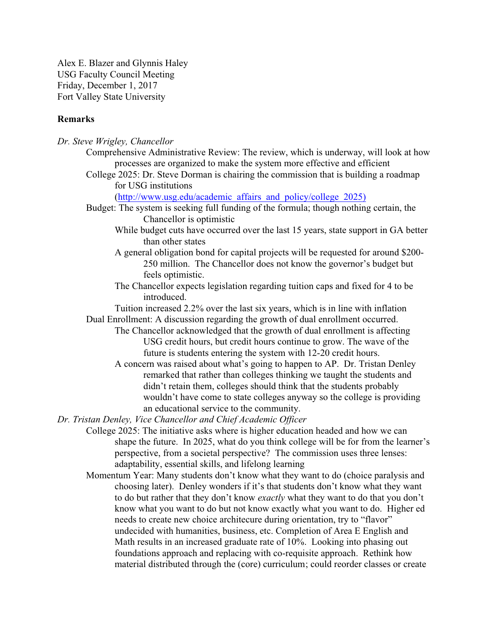Alex E. Blazer and Glynnis Haley USG Faculty Council Meeting Friday, December 1, 2017 Fort Valley State University

# **Remarks**

| Dr. Steve Wrigley, Chancellor                                                                                      |
|--------------------------------------------------------------------------------------------------------------------|
| Comprehensive Administrative Review: The review, which is underway, will look at how                               |
| processes are organized to make the system more effective and efficient                                            |
| College 2025: Dr. Steve Dorman is chairing the commission that is building a roadmap                               |
| for USG institutions                                                                                               |
| (http://www.usg.edu/academic affairs and policy/college 2025)                                                      |
| Budget: The system is seeking full funding of the formula; though nothing certain, the<br>Chancellor is optimistic |
| While budget cuts have occurred over the last 15 years, state support in GA better                                 |
| than other states                                                                                                  |
| A general obligation bond for capital projects will be requested for around \$200-                                 |
| 250 million. The Chancellor does not know the governor's budget but                                                |
| feels optimistic.                                                                                                  |
| The Chancellor expects legislation regarding tuition caps and fixed for 4 to be<br>introduced.                     |
| Tuition increased 2.2% over the last six years, which is in line with inflation                                    |
| Dual Enrollment: A discussion regarding the growth of dual enrollment occurred.                                    |
| The Chancellor acknowledged that the growth of dual enrollment is affecting                                        |
| USG credit hours, but credit hours continue to grow. The wave of the                                               |
| future is students entering the system with 12-20 credit hours.                                                    |
| A concern was raised about what's going to happen to AP. Dr. Tristan Denley                                        |
| remarked that rather than colleges thinking we taught the students and                                             |
| didn't retain them, colleges should think that the students probably                                               |
| wouldn't have come to state colleges anyway so the college is providing                                            |
| an educational service to the community.                                                                           |
| Dr. Tristan Denley, Vice Chancellor and Chief Academic Officer                                                     |
| College 2025: The initiative asks where is higher education headed and how we can                                  |
| shape the future. In 2025, what do you think college will be for from the learner's                                |
| perspective, from a societal perspective? The commission uses three lenses:                                        |
| adaptability, essential skills, and lifelong learning                                                              |
| Momentum Year: Many students don't know what they want to do (choice paralysis and                                 |
| choosing later). Denley wonders if it's that students don't know what they want                                    |
| to do but rather that they don't know exactly what they want to do that you don't                                  |
| know what you want to do but not know exactly what you want to do. Higher ed                                       |
| needs to create new choice architecure during orientation, try to "flavor"                                         |
| undecided with humanities, business, etc. Completion of Area E English and                                         |
| Math results in an increased graduate rate of 10%. Looking into phasing out                                        |
| foundations approach and replacing with co-requisite approach. Rethink how                                         |

material distributed through the (core) curriculum; could reorder classes or create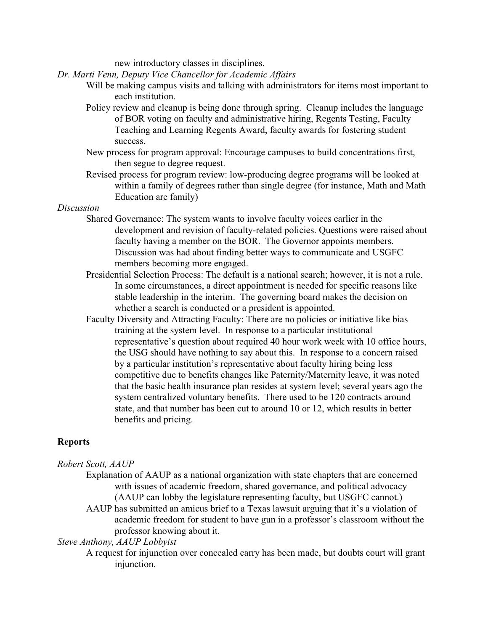new introductory classes in disciplines.

*Dr. Marti Venn, Deputy Vice Chancellor for Academic Affairs*

- Will be making campus visits and talking with administrators for items most important to each institution.
- Policy review and cleanup is being done through spring. Cleanup includes the language of BOR voting on faculty and administrative hiring, Regents Testing, Faculty Teaching and Learning Regents Award, faculty awards for fostering student success,
- New process for program approval: Encourage campuses to build concentrations first, then segue to degree request.
- Revised process for program review: low-producing degree programs will be looked at within a family of degrees rather than single degree (for instance, Math and Math Education are family)

### *Discussion*

- Shared Governance: The system wants to involve faculty voices earlier in the development and revision of faculty-related policies. Questions were raised about faculty having a member on the BOR. The Governor appoints members. Discussion was had about finding better ways to communicate and USGFC members becoming more engaged.
- Presidential Selection Process: The default is a national search; however, it is not a rule. In some circumstances, a direct appointment is needed for specific reasons like stable leadership in the interim. The governing board makes the decision on whether a search is conducted or a president is appointed.
- Faculty Diversity and Attracting Faculty: There are no policies or initiative like bias training at the system level. In response to a particular institutional representative's question about required 40 hour work week with 10 office hours, the USG should have nothing to say about this. In response to a concern raised by a particular institution's representative about faculty hiring being less competitive due to benefits changes like Paternity/Maternity leave, it was noted that the basic health insurance plan resides at system level; several years ago the system centralized voluntary benefits. There used to be 120 contracts around state, and that number has been cut to around 10 or 12, which results in better benefits and pricing.

### **Reports**

### *Robert Scott, AAUP*

- Explanation of AAUP as a national organization with state chapters that are concerned with issues of academic freedom, shared governance, and political advocacy (AAUP can lobby the legislature representing faculty, but USGFC cannot.)
- AAUP has submitted an amicus brief to a Texas lawsuit arguing that it's a violation of academic freedom for student to have gun in a professor's classroom without the professor knowing about it.

#### *Steve Anthony, AAUP Lobbyist*

A request for injunction over concealed carry has been made, but doubts court will grant injunction.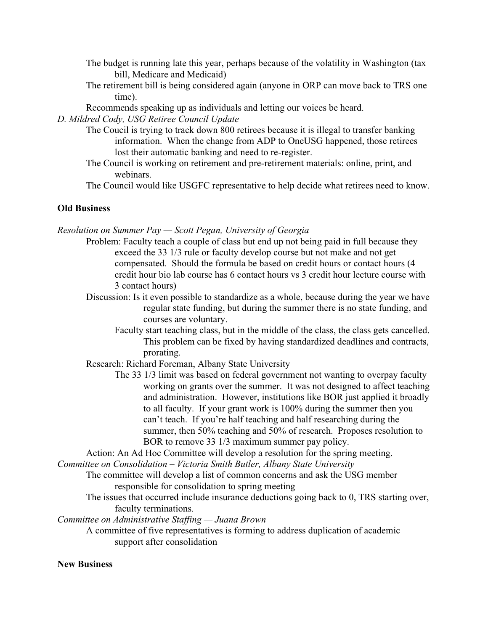- The budget is running late this year, perhaps because of the volatility in Washington (tax bill, Medicare and Medicaid)
- The retirement bill is being considered again (anyone in ORP can move back to TRS one time).
- Recommends speaking up as individuals and letting our voices be heard.

*D. Mildred Cody, USG Retiree Council Update*

- The Coucil is trying to track down 800 retirees because it is illegal to transfer banking information. When the change from ADP to OneUSG happened, those retirees lost their automatic banking and need to re-register.
- The Council is working on retirement and pre-retirement materials: online, print, and webinars.

The Council would like USGFC representative to help decide what retirees need to know.

## **Old Business**

*Resolution on Summer Pay — Scott Pegan, University of Georgia*

- Problem: Faculty teach a couple of class but end up not being paid in full because they exceed the 33 1/3 rule or faculty develop course but not make and not get compensated. Should the formula be based on credit hours or contact hours (4 credit hour bio lab course has 6 contact hours vs 3 credit hour lecture course with 3 contact hours)
- Discussion: Is it even possible to standardize as a whole, because during the year we have regular state funding, but during the summer there is no state funding, and courses are voluntary.
	- Faculty start teaching class, but in the middle of the class, the class gets cancelled. This problem can be fixed by having standardized deadlines and contracts, prorating.
- Research: Richard Foreman, Albany State University
	- The 33 1/3 limit was based on federal government not wanting to overpay faculty working on grants over the summer. It was not designed to affect teaching and administration. However, institutions like BOR just applied it broadly to all faculty. If your grant work is 100% during the summer then you can't teach. If you're half teaching and half researching during the summer, then 50% teaching and 50% of research. Proposes resolution to BOR to remove 33 1/3 maximum summer pay policy.

Action: An Ad Hoc Committee will develop a resolution for the spring meeting.

*Committee on Consolidation – Victoria Smith Butler, Albany State University*

- The committee will develop a list of common concerns and ask the USG member responsible for consolidation to spring meeting
- The issues that occurred include insurance deductions going back to 0, TRS starting over, faculty terminations.

*Committee on Administrative Staffing — Juana Brown*

A committee of five representatives is forming to address duplication of academic support after consolidation

### **New Business**